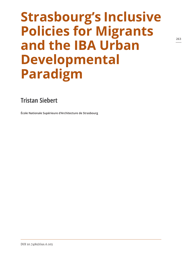# **Strasbourg's Inclusive Policies for Migrants and the IBA Urban Developmental Paradigm**

## **Tristan Siebert**

**École Nationale Supérieure d'Architecture de Strasbourg**

DOI 10.7480/rius.6.103

**263**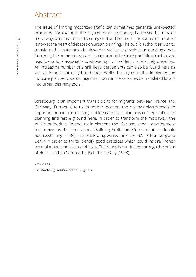## Abstract

The issue of limiting motorized traffic can sometimes generate unexpected problems. For example, the city centre of Strasbourg is crossed by a major motorway, which is constantly congested and polluted. This source of irritation is now at the heart of debates on urban planning. The public authorities wish to transform the route into a boulevard as well as to develop surrounding areas. Currently, the numerous vacant spaces around the transport infrastructure are used by various associations, whose right of residency is relatively unsettled. An increasing number of small illegal settlements can also be found here as well as in adjacent neighbourhoods. While the city council is implementing inclusive policies towards migrants, how can these issues be translated locally into urban planning tools?

Strasbourg is an important transit point for migrants between France and Germany. Further, due to its border location, the city has always been an important hub for the exchange of ideas; in particular, new concepts of urban planning find fertile ground here. In order to transform the motorway, the public authorities intend to implement the German urban development tool known as the International Building Exhibition (German: Internationale Bauausstellung or IBA). In the following, we examine the IBAs of Hamburg and Berlin in order to try to identify good practices which could inspire French town planners and elected officials. This study is conducted through the prism of Henri Lefebvre's book The Right to the City (1968).

#### **KEYWORDS**

IBA, Strasbourg, inclusive policies, migrants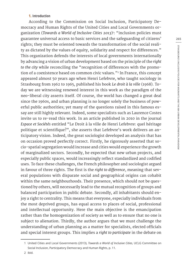#### **1. Introduction**

According to the Commission on Social Inclusion, Participatory Democracy and Human Rights of the United Cities and Local Governments organization (*Towards a World of Inclusive Cities 2013*)1 : "inclusion policies must guarantee universal access to basic services and the safeguarding of citizens' rights; they must be oriented towards the transformation of the social reality as dictated by the values of equity, solidarity and respect for differences." This organization defends the interests of local governments internationally by advancing a vision of urban development based on the principle of the *right to the city* while reconciling the "recognition of differences with the promotion of a coexistence based on common civic values."<sup>2</sup> In France, this concept appeared almost 50 years ago when Henri Lefebvre, who taught sociology in Strasbourg from 1962 to 1965, published his book *Le droit à la ville* (1968). Today we are witnessing renewed interest in this work as the paradigm of the neo-liberal city asserts itself. Of course, the world has changed a great deal since the 1960s, and urban planning is no longer solely the business of powerful public authorities; yet many of the questions raised in this famous essay are still highly relevant. Indeed, some specialists such as Laurence Costes invite us to re-read this work. In an article published in 2010 in the journal *Espace et Sociétés* entitled "Le Droit à la ville de Henri Lefebvre: quel héritage politique et scientifique?", she asserts that Lefebvre's work delivers an anticipatory vision. Indeed, the great sociologist developed an analysis that has on occasion proved perfectly correct. Firstly, he rigorously asserted that socio-spatial segregation would increase and cities would experience the growth of marginalized sectors. Secondly, he expected that new urban projects, and especially public spaces, would increasingly reflect standardized and codified uses. To face these challenges, the French philosopher and sociologist argued in favour of three rights. The first is the *right to difference*, meaning that several populations with disparate social and geographical origins can cohabit within the same neighbourhoods. Their presence, which should not be questioned by others, will necessarily lead to the mutual recognition of groups and balanced participation in public debate. Secondly, all inhabitants should enjoy a right to centrality. This means that everyone, especially individuals from the most deprived groups, has equal access to places of social, professional and intellectual opportunity. Here the main objective is the emancipation rather than the homogenization of society as well as to ensure that no one is subject to alienation. Thirdly, the author argues that we must challenge the understanding of urban planning as a matter for specialists, elected officials and special interest groups. This implies a *right to participate* in the debate on

<sup>1</sup> United Cities and Local Governments (2013), *Towards a World of Inclusive Cities*, UCLG Committee on Social Inclusion, Participatory Democracy and Human Rights, p. 11.

<sup>2</sup> ibid.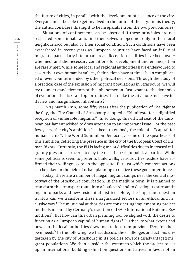the future of cities, in parallel with the development of a science of the city. Everyone must be able to get involved in the future of the city. In his theory, the author considers this right to be inseparable from the two previous ones.

Situations of confinement can be observed if these principles are not respected: some inhabitants find themselves trapped not only in their local neighbourhood but also by their social condition. Such conditions have been exacerbated in recent years as European countries have faced an influx of migrants, particularly into urban areas. Reception facilities have been overwhelmed, and the necessary conditions for development and emancipation are rarely met. While some local and regional authorities have endeavoured to assert their own humanist values, their actions have at times been complicated or even countermanded by other political decisions. Through the study of a practical case of the exclusion of migrant populations in Strasbourg, we will try to understand elements of this phenomenon. Just what are the dynamics of evolution, the risks and opportunities that make the city more inclusive for its new and marginalized inhabitants?

On 25 March 2019, some fifty years after the publication of *The Right to the City*, the City Council of Strasbourg adopted a "Manifesto for a dignified reception of vulnerable migrants". In so doing, this official seat of the European parliament wished to draw attention to an important issue. For the past few years, the city's ambition has been to embody the role of a "capital for human rights". The World Summit on Democracy is one of the spearheads of this ambition, reflecting the presence in the city of the European Court of Human Rights. Currently, the EU is facing major difficulties due to increased migratory pressures, exacerbated by the rise of far-right political parties. While some politicians seem to prefer to build walls, various cities leaders have affirmed their willingness to do the opposite. But just which concrete actions can be taken in the field of urban planning to realize these good intentions?

Today, there are a number of illegal migrant camps near the central motorway of the Strasbourg conurbation. In the medium term, it is planned to transform this transport route into a boulevard and to develop its surroundings into parks and new residential districts. Here, the important question is: How can we transform these marginalized sectors in an ethical and inclusive way? The municipal authorities are considering implementing project methods inspired by Germany's tradition of IBAs (International Building Exhibitions). But how can this urban planning tool be aligned with the desire to function as a European capital of human rights? Further, to what extent and how can the local authorities draw inspiration from previous IBAs for their own needs? In the following, we first discuss the challenges and actions undertaken by the city of Strasbourg in its policies towards disadvantaged migrant populations. We then consider the extent to which the project to set up an international building exhibition questions initiatives in favour of an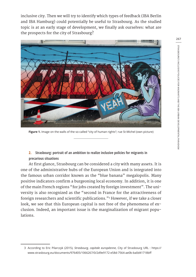inclusive city. Then we will try to identify which types of feedback (IBA Berlin and IBA Hamburg) could potentially be useful to Strasbourg. As the studied topic is at an early stage of development, we finally ask ourselves: what are the prospects for the city of Strasbourg?



**Figure 1.** Image on the walls of the so-called "city of human rights"; rue St-Michel (own picture)

**2. Strasbourg: portrait of an ambition to realize inclusive policies for migrants in precarious situations**

At first glance, Strasbourg can be considered a city with many assets. It is one of the administrative hubs of the European Union and is integrated into the famous urban corridor known as the "blue banana" megalopolis. Many positive indicators confirm a burgeoning local economy. In addition, it is one of the main French regions "for jobs created by foreign investment". The university is also recognized as the "second in France for the attractiveness of foreign researchers and scientific publications."<sup>3</sup> However, if we take a closer look, we see that this European capital is not free of the phenomena of exclusion. Indeed, an important issue is the marginalization of migrant populations.

<sup>3</sup> According to Eric Pilarczyk (2015), *Strasbourg, capitale européenne*, City of Strasbourg URL : https:// www.strasbourg.eu/documents/976405/1066267/0/2d9e9172-e58d-7564-ae0b-ba0d41718bff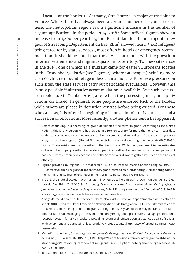Located at the border to Germany, Strasbourg is a major entry point to France.4 While there has always been a certain number of asylum seekers here, the metropolitan region saw a significant increase in the number of asylum applications in the period 2014-2018.5 Some official figures show an increase from 1,800 per year to 4,000. Recent data for the metropolitan region of Strasbourg (Département du Bas-Rhin) showed nearly 3,462 refugees<sup>6</sup> being cared for by state services<sup>7</sup>, most often in hotels or emergency accommodation. It should be noted that the city is confronted with the growth in informal settlements and migrant squats on its territory. Two new sites arose in the 2019, one of which is a migrant camp for eastern Europeans located in the Cronenbourg district (see Figure 2), where 190 people (including more than 60 children) found refuge in less than a month.<sup>8</sup> To relieve pressures on such sites, the state services carry out periodical evacuations. However, this is only possible if alternative accommodation is available. One such evacuation took place in October 2019<sup>9</sup>, after which the processing of asylum applications continued. In general, some people are escorted back to the border, while others are placed in detention centres before being evicted. For those who can stay, it is often the beginning of a long administrative process, and a succession of relocations. More recently, another phenomenon has appeared,

- 5 Figures provided by regional TV broadcaster FR3 on its website, Marie-Christine Lang, 02/10/2019, URL:https://france3-regions.francetvinfo.fr/grand-est/bas-rhin/strasbourg-0/strasbourg-campements-migrants-se-multiplient-hebergement-urgence-ne-suit-pas-1731081.html).
- 6 In 2019, the state allocated more than 23 million euros to help migrants; Communiqué de la préfecture du Bas-Rhin (22 /10/2019), *Strasbourg: le campement des Ducs d'Alsace démantelé, la préfecture promet des solutions adaptées à chaque personne*, DNA, URL : https://www.dna.fr/actualite/2019/10/22/ strasbourg-le-camp-des-ducs-d-alsace-a-nouveau-demantele.
- 7 Alongside the different public services, there also exists: Direction départementale de la cohésion sociale (DDCS) and the Office Français de l'Immigration et de l'Intégration (OFII). The different roles are to "take care of the integration of migrants during the first 5 years of their stay in France. The OFII's other tasks include managing professional and family immigration procedures, managing the national reception system for asylum seekers, providing return and reintegration assistance as part of solidarity development, and combating illegal work." OFII website URL : http://www.ofii.fr/qui-sommes-nous/ nos-missions.
- 8 Marie-Christine Lang, *Strasbourg : les campements de migrants se multiplient, l'hébergement d'urgence ne suit pas*, FR3 Alsace, 02/10/2019, URL : https://france3-regions.francetvinfo.fr/grand-est/bas-rhin/ strasbourg-0/strasbourg-campements-migrants-se-multiplient-hebergement-urgence-ne-suitpas-1731081.html.
- 9 ibid. Communiqué de la préfecture du Bas-Rhin (22 /10/2019).

<sup>4</sup> Before continuing, it is necessary to give a definition of the term "migrant". According to the United Nations, this is "any person who has resided in a foreign country for more than one year, regardless of the causes, voluntary or involuntary, of the movement, and regardless of the means, regular or irregular, used to migrate." (United Nations website https://refugeesmigrants.un.org/fr/d%C3%A9finitions) There exist some particularities in the French case. While the government issues estimates of the number of people without a residency permit as well as the number of naturalized persons, it has been strictly prohibited since the end of the Second World War to gather statistics on the basis of ethnicity.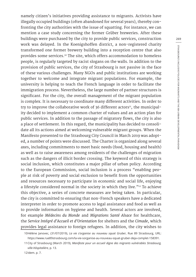namely citizen's initiatives providing assistance to migrants. Activists have illegally occupied buildings (often abandoned for several years), thereby confronting the city authorities with the issue of squatting. For instance, we can mention a case study concerning the former Grüber breweries. After these buildings were purchased by the city to provide public services, construction work was delayed. In the Koenigshoffen district, a non-registered charity transformed one former brewery building into a reception centre that also provides some services.<sup>10</sup> The site, which offers accommodation to homeless people, is regularly targeted by racist slogans on the walls. In addition to the provision of public services, the city of Strasbourg is not passive in the face of these various challenges. Many NGOs and public institutions are working together to welcome and integrate migrant populations. For example, the university is helping to teach the French language in order to facilitate the immigration process. Nevertheless, the large number of partner structures is significant. For the city, the overall management of the migrant population is complex. It is necessary to coordinate many different activities. In order to try to improve the collaborative work of 36 different actors $11$ , the municipality decided to implement a common charter of values and an action plan for public services. In addition to the passage of migratory flows, the city is also a place of settlement. In this regard, the municipality has decided to consolidate all its actions aimed at welcoming vulnerable migrant groups. When the Manifesto presented to the Strasbourg City Council in March 2019 was adopted, a number of points were discussed. The Charter is organized along several axes, including commitments to meet basic needs (food, housing and health) as well as to raise awareness among residents of the challenges of migration such as the dangers of illicit border crossing. The keyword of this strategy is social inclusion, which constitutes a major pillar of urban policy. According to the European Commission, social inclusion is a process "enabling people at risk of poverty and social exclusion to benefit from the opportunities and resources necessary to participate in economic and social life, enjoying a lifestyle considered normal in the society in which they live."<sup>12</sup> To achieve this objective, a series of concrete measures are being taken. In particular, the city is committed to ensuring that non-French speakers have a dedicated interpreter in order to promote access to legal assistance and food as well as to provide information on hygiene and health. Several actors are involved, for example *Médecins du Monde* and *Migrations Santé Alsace* for healthcare, the *Service Intégré d'Accueil et d'Orientation* for shelters and the *Cimade*, which provides legal assistance to foreign refugees. In addition, the city wishes to

<sup>10</sup>Hélène Janovec, (31/07/2019), *La vie s'organise au nouveau squat Gruber*, Rue 89 Strasbourg, URL: https://www.rue89strasbourg.com/la-vie-sorganise-au-nouveau-squat-gruber-deja-complet-158391.

<sup>11</sup>City of Strasbourg (March 2019), *Manifeste pour un accueil digne des migrants vulnérables Strasbourg, ville-hôspitalière*, p. 13.

<sup>12</sup>Idem. p. 7.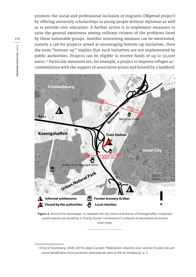promote the social and professional inclusion of migrants (*Migreval* project) by offering university scholarships to young people without diplomas as well as to provide civic education. A further action is to implement measures to raise the general awareness among ordinary citizens of the problems faced by these vulnerable groups. Another interesting measure can be mentioned, namely a call for projects aimed at encouraging bottom-up initiatives. Here the term "bottom-up" implies that such initiatives are not implemented by public authorities. Projects can be eligible to receive funds of up to 50,000 euros.13 Particular measures are, for example, a project to improve refugee accommodation with the support of associative actors and hosted by a landlord.



**Figure 2.** Around the motorways, i.e. between the city centre and district of Koenigshoffen, important vacant spaces are served by a "charity cluster" composed of a network of associative structures (own map).

<sup>13</sup>City of Strasbourg, DIAIR, (2019), *Appel à projets "Mobilisation citoyenne pour valoriser la place des personnes bénéficiaires d'une protection internationale dans la Ville de Strasbourg*", p. 5.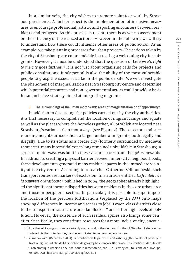In a similar vein, the city wishes to promote volunteer work by Strasbourg residents. A further aspect is the implementation of inclusive measures to encourage professional, artistic and sporting encounters between residents and refugees. As this process is recent, there is as yet no assessment on the efficiency of the realized actions. However, in the following we will try to understand how these could influence other areas of public action. As an example, we take planning processes for urban projects. The actions taken by the city of Strasbourg are commendable in creating a welcoming city for migrants. However, it must be understood that the question of Lefebvre's *right to the city* goes further.14 It is not just about organizing calls for projects and public consultations; fundamental is also the ability of the most vulnerable people to grasp the issues at stake in the public debate. We will investigate the phenomena of marginalization near Strasbourg city centre and determine which potential resources and non-governmental actors could provide a basis for an inclusive strategy aimed at integrating migrants.

**3. The surroundings of the urban motorways: areas of marginalization or of opportunity?**

In addition to discussing the policies carried out by the city authorities, it is first necessary to comprehend the location of migrant camps and squats as well as the places where the homeless gather, all of which are located near Strasbourg's various urban motorways (see Figure 2). These sectors and surrounding neighbourhoods host a large number of migrants, both legally and illegally. Due to its status as a border city (formerly surrounded by medieval ramparts), many interstitial zones long remained unbuildable in Strasbourg. A series of motorways was built in these vacant spaces from the 1960s onwards. In addition to creating a physical barrier between inner-city neighbourhoods, these developments generated many residual spaces in the immediate vicinity of the city centre. According to researcher Catherine Sélimonovski, such transport routes are markers of exclusion. In an article entitled *La frontière de la pauvreté à Strasbourg*15 published in 2004, the geographer already highlighted the significant income disparities between residents in the core urban area and those in peripheral sectors. In particular, it is possible to superimpose the location of the previous fortifications (replaced by the A35) onto maps showing differences in income and access to jobs. Lower-class districts close to the transport infrastructure are "landlocked" and suffer high levels of pollution. However, the existence of such residual spaces also brings some benefits. Specifically, they constitute resources for a more inclusive city, encour**271**

<sup>14</sup>Note that while migrants were certainly not central to the demands in the 1960s when Lefebvre formulated his thesis, today they can be assimilated to vulnerable populations.

<sup>15</sup>Sélimanovski C. (December 2004), La frontière de la pauvreté à Strasbourg (The border of poverty in Strasbourg). In: Bulletin de l'Association de géographes français, 81e année. Les frontières dans la ville / Problématique urbaine en Suisse, sous la direction de Jean-Luc Piermay et Rita Schneider-Sliwa. pp. 498-508, DOI : https://doi.org/10.3406/bagf.2004.241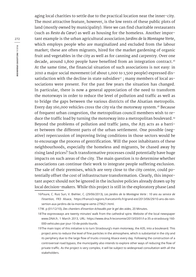aging local charities to settle due to the practical location near the inner-city. The most attractive feature, however, is the low rents of these public plots of land (mostly owned by municipality). Here we can find charitable restaurants (such as *Resto du Cœur*) as well as housing for the homeless. Another important example is the urban agricultural association *Jardins de la Montagne Verte*, which employs people who are marginalized and excluded from the labour market; these are often migrants, hired for the market gardening of organic fruit and vegetables in the city as well as for canning and carpentry. Over one decade, around 1,800 people have benefited from an integration contract.<sup>16</sup> At the same time, the financial situation of such associations is not easy: in 2010 a major social movement (of about 1,000 to 1,500 people) expressed dissatisfaction with the decline in state subsidies $17$ ; many members of local associations were present. For the past few years the situation has changed. In particular, there is now a general appreciation of the need to transform the motorways in order to reduce the level of pollution and traffic as well as to bridge the gaps between the various districts of the Alsatian metropolis. Every day 160,000 vehicles cross the city via the motorway system.<sup>18</sup> Because of frequent urban congestion, the metropolitan council members wish to reduce the traffic load by turning the motorway into a metropolitan boulevard.<sup>19</sup> Beyond the problems of pollution and traffic jams, the A35 acts as a barrier between the different parts of the urban settlement. One possible (negative) repercussion of improving living conditions in those sectors would be to encourage the process of gentrification. Will the poor inhabitants of these neighbourhoods, especially the homeless and migrants, be chased away by rising land prices? Such transformative processes could potentially have huge impacts on such areas of the city. The main question is to determine whether associations can continue their work to integrate people suffering exclusion. The sale of their premises, which are very close to the city centre, could potentially offset the cost of infrastructure transformation. Clearly, this important aspect should not be ignored in the inclusive policies already drawn up by local decision-makers. While this project is still in the exploratory phase (and

<sup>16</sup>Poure, C. Ruiz Suri, V. Biehler, C. (29/06/2013), *Les Jardins de la Montagne Verte : 10 ans au service de l'insertion*, FR3 Alsace, https://france3-regions.francetvinfo.fr/grand-est/2013/06/29/10-ans-de-reinsertion-aux-jardins-de-la-montagne-verte-279621.html.

<sup>17</sup>W. p (01/12/10), *Des chantiers d'insertion échaudés par le gel des aides*, 20 Minutes.

<sup>18</sup>The expressways are twenty minutes' walk from the cathedral spire. Website of the local newspaper www.DNA.fr, 1 March 2013, URL: https://www.dna.fr/economie/2013/03/01/l-a-35-a-strasbourg-160- 000-vehicules-par-jour-10-de-poids-lourds.

<sup>19</sup>The main topic of this initiative is to turn Strasbourg's main motorway, the A35, into a boulevard. This project aims to reduce the level of fine particles in the atmosphere, which is substantial in the city and its periphery due to the large flow of trucks crossing Alsace every day. Following the construction of a controversial road bypass, the municipality also intends to explore other ways of reducing the flow of private traffic. As the project is very complex, it will be subject to widespread consultation with all the stakeholders.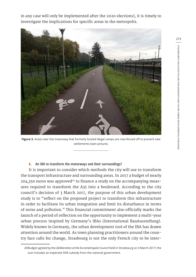in any case will only be implemented after the 2020 elections), it is timely to investigate the implications for specific areas in the metropolis.



**Figure 3.** Areas near the motorway that formerly hosted illegal camps are now fenced off to prevent new settlements (own picture).

#### **4. An IBA to transform the motorways and their surroundings?**

It is important to consider which methods the city will use to transform the transport infrastructure and surrounding areas. In 2017 a budget of nearly  $204,350$  euros was approved<sup>20</sup> to finance a study on the accompanying measures required to transform the A35 into a boulevard. According to the city council's decision of 3 March 2017, the purpose of this urban development study is to "reflect on the proposed project to transform this infrastructure in order to facilitate its urban integration and limit its disturbance in terms of noise and pollution." This financial commitment also officially marks the launch of a period of reflection on the opportunity to implement a multi-year urban process inspired by Germany's IBAs (International BauAusstellung). Widely known in Germany, the urban development tool of the IBA has drawn attention around the world. As town planning practitioners around the country face calls for change, Strasbourg is not the only French city to be inter**273**

<sup>20</sup>Budget agreed by the *Deliberation at the Eurometropole Council* held in Strasbourg on 3 March 2017; the sum includes an expected 50% subsidy from the national government.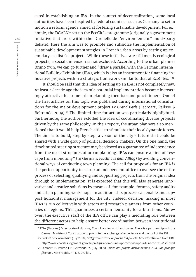ested in establishing an IBA. In the context of decentralization, some local authorities have been inspired by federal countries such as Germany to set in motion a reform agenda aimed at fostering sustainable development. For example, the DGALN<sup>21</sup> set up the EcoCités programme (originally a government initiative that arose within the "Grenelle de l'environnement" multi-party debate). Here the aim was to promote and subsidize the implementation of sustainable development strategies in French urban areas by setting up exemplary ecodistrict projects. While these initiatives are still mostly ecological projects, a social dimension is not excluded. According to the urban planner Bruno Yvin, we can go further and "draw a parallel with the German International Building Exhibition (IBA), which is also an instrument for financing innovative projects within a strategic framework similar to that of EcoCités."<sup>22</sup>

It should be said that this idea of setting up an IBA is not completely new. At least a decade ago the idea of a potential implementation became increasingly attractive for some urban planning theorists and practitioners. One of the first articles on this topic was published during international consultations for the major development project *Le Grand Paris* (Lecroart, Palisse & Beltrando 2009).<sup>23</sup> The limited time for action was particularly highlighted. Furthermore, the authors extolled the idea of coordinating diverse projects driven by the same philosophy. In their report, the urban planners also mentioned that it would help French cities to stimulate their local dynamic forces. The aim is to build, step by step, a vision of the city's future that could be shared with a wide group of political decision-makers. On the one hand, the timelimited steering structure may be viewed as a guarantee of independence from the usual structures of urban planning. IBAs can ensure a kind of "escape from monotony" (in German: *Flucht aus dem Alltag*) by avoiding conventional ways of conducting town planning. The call for proposals for an IBA is the perfect opportunity to set up an independent office to oversee the entire process of selecting, qualifying and supporting projects from the original idea through to implementation. It is expected that this will also generate innovative and creative solutions by means of, for example, forums, safety audits and urban planning workshops. In addition, this process can enable and support horizontal management for the city. Indeed, decision-making in most IBAs is run collectively with actors and research planners from other countries or regions. This guarantees a certain neutrality for arbitrations. Moreover, the executive staff of the IBA office can play a mediating role between the different actors to help ensure better coordination between institutional

<sup>21</sup>The (National) Directorate of Housing, Town Planning and Landscapes. There is a partnership with the German Ministry of Construction to promote the exchange of experience and the tool of the IBA.

<sup>22</sup>EcoCité official website (July 2018), *Préfiguration d'une approche IBA pour les EcoCité*; retrieved from URL: http://www.ecocites.logement.gouv.fr/prefiguration-d-une-approche-iba-pour-les-ecocites-a171.html

<sup>23</sup>Lecroart, P. Palisse J-P. Beltrando, Y. (July 2009), *Initier des projets métropolitains: l'IBA, une pratique féconde* , Note rapide, n° 478, IAU îdF.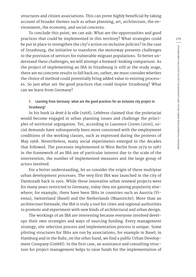structures and citizen associations. This can prove highly beneficial by taking account of broader themes such as urban planning, art, architecture, the environment, the economy, and social concerns.

To conclude this point, we can ask: What are the opportunities and good practices that could be implemented in this territory? What strategies could be put in place to strengthen the city's action on inclusive policies? In the case of Strasbourg, the initiative to transform the motorway presents challenges to the provision of services for vulnerable migrant populations. To better understand these challenges, we will attempt a forward-looking comparison. As the project of implementing an IBA in Strasbourg is still at the study stage, there are no concrete results to fall back on; rather, we must consider whether the choice of method could potentially bring added value to existing processes. So just what are the good practices that could inspire Strasbourg? What can we learn from Germany?

### **5. Learning from Germany: what are the good practices for an inclusive city project in Strasbourg?**

In his book *Le droit à la ville* (1968), Lefebvre claimed that the proletariat would become engaged in urban planning issues and challenge the principles of territorial segregation. Yet, according to Laurence Costes (2010), social demands have subsequently been more concerned with the employment conditions of the working classes, such as expressed during the protests of May 1968. Nevertheless, many social experiments emerged in the decades that followed. The processes implemented in West Berlin from 1979 to 1987 in the framework of an IBA are of particular interest due to the scale of the intervention, the number of implemented measures and the large group of actors involved.

For a better understanding, let us consider the origin of these multiyear urban development processes. The very first IBA was launched in the city of Darmstadt back in 1901. While these innovative urban renewal projects were for many years restricted to Germany, today they are gaining popularity elsewhere; for example, there have been IBAs in countries such as Austria (Vienna), Switzerland (Basel) and the Netherlands (Maastricht). More than an architecture biennale, the IBA is truly a tool for cities and regional authorities to promote and experiment with new kinds of architectural and urban design.

The workings of an IBA are interesting because everyone involved develops their own strategies and ways of sourcing funding. Every management strategy, site selection process and implementation process is unique. Some piloting structures for IBAs are run by associations, for example in Basel; in Hamburg and in the Ruhr, on the other hand, we find a public Urban Development Company (GmbH). In the first case, an assistance and consulting structure for project management helps to raise funds for the implementation of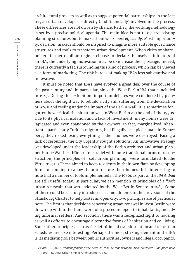architectural projects as well as to suggest potential partnerships; in the latter, an urban developer is directly (and financially) involved in the process. These differences are not driven by chance. Rather, the working methodology is set by a precise political agenda. The main idea is not to *replace* existing planning structures but to make them work *more efficiently*. Most importantly, decision-makers should be inspired to imagine more suitable governance structures and tools to transform urban development. When cities or shareholders in metropolitan regions choose to declare themselves initiators of an IBA, the underlying motivation may be to increase their prestige. Indeed, there is currently a fad surrounding this kind of process, which can be viewed as a form of marketing. The risk here is of making IBAs less substantive and innovative.

It must be noted that IBAs have evolved a great deal over the course of the past century and, in particular, since the West Berlin IBA that concluded in 1987. During this exhibition, important debates were conducted by planners about the right way to rebuild a city still suffering from the devastation of WWII and reeling under the impact of the Berlin Wall. It is sometimes forgotten how critical the situation was in West Berlin at the end of the 1970s. Due to its physical isolation and a lack of investment, many homes were dilapidated and even abandoned by their owners. In fact, marginalized inhabitants, particularly Turkish migrants, had illegally occupied squats in Kreuzberg; they risked losing everything if their homes were destroyed. Facing a lack of resources, the city urgently sought solutions. An innovative strategy was developed under the leadership of the Berlin architect and urban planner Hardt-Waltherr Hämer. In parallel with more traditional forms of reconstruction, the principles of "soft urban planning" were formulated (Elodie Vittu 2005).<sup>24</sup> These aimed to keep residents in their own flats by developing forms of funding to allow them to restore their homes. It is interesting to note that a number of tools implemented in the 1980s as part of the *IBA Altbau* are still useful today. In particular, we can mention 12 principles of a "soft urban renewal" that were adopted by the West Berlin Senate in 1983. Some of these could be usefully introduced as amendments to the provisions of the Strasbourg Charter to help foster an open city. Two principles are of particular note. The first is that decisions concerning urban renewal in West Berlin were drawn up within the framework of a procedure open to inhabitants, including informal settlers. And secondly, there was a recognized right to housing as well as efforts to encourage alternative forms of habitation and co-living. Some other principles such as the definition of transformation and relocation schedules are also interesting. Perhaps the most striking element in the IBA is its mediating role between public authorities, owners and illegal occupants.

<sup>24</sup>Vittu, E. (2005), *L'aménagement d'une place en zone de réhabilitation "Helmholtzplatz", une place pour tous?* IFU, DESS Urbanisme et Aménagement, p 60.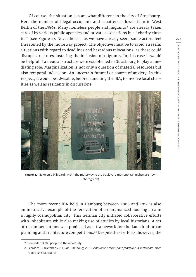Of course, the situation is somewhat different in the city of Strasbourg. Here the number of illegal occupants and squatters is lower than in West Berlin of the 1980s. Many homeless people and migrants<sup>25</sup> are already taken care of by various public agencies and private associations in a "charity cluster" (see Figure 2). Nevertheless, as we have already seen, some actors feel threatened by the motorway project. The objective must be to avoid stressful situations with regard to deadlines and hazardous relocations, as these could disrupt structures fostering the inclusion of migrants. In this case it would be helpful if a neutral structure were established in Strasbourg to play a mediating role. Marginalization is not only a question of material resources but also temporal indecision. An uncertain future is a source of anxiety. In this respect, it would be advisable, before launching the IBA, to involve local charities as well as residents in discussions.



**Figure 4.** A joke on a billboard: "From the motorway to the boulevard metropolitan nightmare" (own photograph).

The more recent IBA held in Hamburg between 2006 and 2013 is also an instructive example of the renovation of a marginalized housing area in a highly cosmopolitan city. This German city initiated collaborative efforts with inhabitants while also making use of studies by local historians. A set of recommendations was produced as a framework for the launch of urban planning and architecture competitions.26 Despite these efforts, however, the

<sup>25</sup>Reminder: 3,000 people in the whole city.

<sup>26</sup>Lecroart, P. (October 2011) *IBA Hambourg 2013: cinquante projets pour fabriquer la métropole,* Note rapide N° 578, IAU IdF.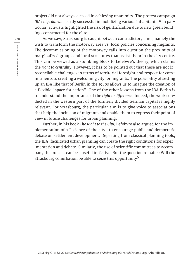project did not always succeed in achieving unanimity. The protest campaign IBA? nigs da! was partly successful in mobilizing various inhabitants.<sup>27</sup> In particular, activists highlighted the risk of gentrification due to new green buildings constructed for the elite.

As we saw, Strasbourg is caught between contradictory aims, namely the wish to transform the motorway area vs. local policies concerning migrants. The decommissioning of the motorway calls into question the proximity of marginalized groups and local structures that assist them in the city centre. This can be viewed as a stumbling block to Lefebvre's theory, which claims the *right to centrality*. However, it has to be pointed out that these are not irreconcilable challenges in terms of territorial foresight and respect for commitments to creating a welcoming city for migrants. The possibility of setting up an IBA like that of Berlin in the 1980s allows us to imagine the creation of a flexible "space for action". One of the other lessons from the IBA Berlin is to understand the importance of the *right to difference*. Indeed, the work conducted in the western part of the formerly divided German capital is highly relevant. For Strasbourg, the particular aim is to give voice to associations that help the inclusion of migrants and enable them to express their point of view in future challenges for urban planning.

Further, in his book *The Right to the City*, Lefebvre also argued for the implementation of a "science of the city" to encourage public and democratic debate on settlement development. Departing from classical planning tools, the IBA-facilitated urban planning can create the right conditions for experimentation and debate. Similarly, the use of scientific committees to accompany the process can be a useful initiative. But the question remains: Will the Strasbourg conurbation be able to seize this opportunity?

<sup>27</sup>Schirg O. (16.6.2013) *Gentrifizierungsdebatte: Wilhelmsburg als Vorbild?* Hamburger Abendblatt.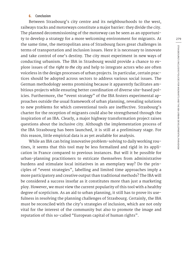#### **6. Conclusion**

Between Strasbourg's city centre and its neighbourhoods to the west, railways tracks and motorways constitute a major barrier: they divide the city. The planned decommissioning of the motorway can be seen as an opportunity to develop a strategy for a more welcoming environment for migrants. At the same time, the metropolitan area of Strasbourg faces great challenges in terms of transportation and inclusion issues. Here it is necessary to innovate and take control of one's destiny. The city must experiment in new ways of conducting urbanism. The IBA in Strasbourg would provide a chance to explore issues of the *right to the city* and help to integrate actors who are often voiceless in the design processes of urban projects. In particular, certain practices should be adopted across sectors to address various social issues. The German methodology seems promising because it apparently facilitates ambitious projects while ensuring better coordination of diverse site-based policies. Furthermore, the "event strategy" of the IBA fosters experimental approaches outside the usual framework of urban planning, revealing solutions to new problems for which conventional tools are ineffective. Strasbourg's charter for the reception of migrants could also be strengthened through the inspiration of an IBA. Clearly, a major highway transformation project raises questions about the inclusive city. Although the implementation process of the IBA Strasbourg has been launched, it is still at a preliminary stage. For this reason, little empirical data is as yet available for analysis.

While an IBA can bring innovative problem-solving to daily working routines, it seems that this tool may be less formalized and rigid in its application in France compared to previous instances. But will it be possible for urban-planning practitioners to extricate themselves from administrative burdens and stimulate local initiatives in an exemplary way? Do the principles of "event strategies", labelling and limited time approaches imply a more participatory and creative output than traditional methods? The IBA will be considered a success insofar as it constitutes more than just a marketing ploy. However, we must view the current popularity of this tool with a healthy degree of scepticism. As an aid to urban planning, it still has to prove its usefulness in resolving the planning challenges of Strasbourg. Certainly, the IBA must be reconciled with the city's strategies of inclusion, which are not only vital for the interest of the community but also to promote the image and reputation of this so-called "European capital of human rights".